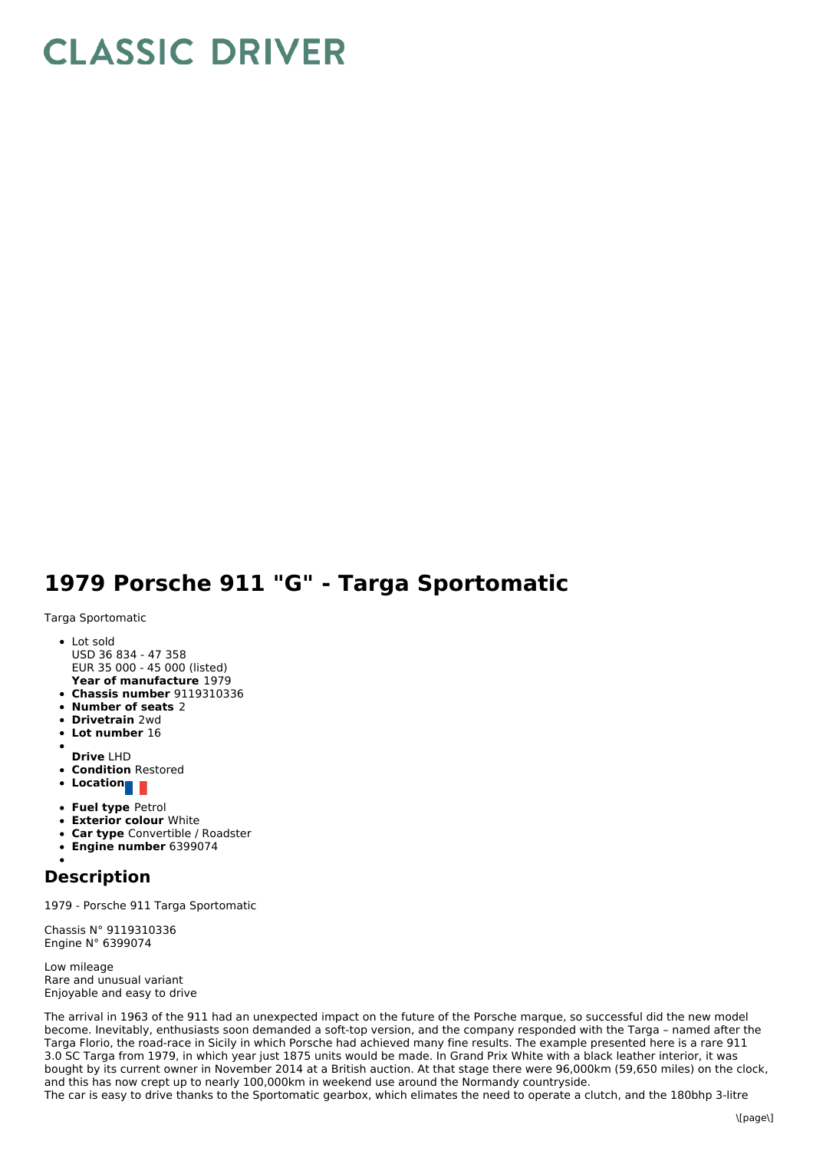## **CLASSIC DRIVER**

## **1979 Porsche 911 "G" - Targa Sportomatic**

Targa Sportomatic

- **Year of manufacture** 1979 • Lot sold USD 36 834 - 47 358 EUR 35 000 - 45 000 (listed)
- **Chassis number** 9119310336
- **Number of seats** 2
- **Drivetrain** 2wd
- **Lot number** 16
- 
- **Drive** LHD
- **Condition** Restored
- **•** Location
- **Fuel type** Petrol
- **Exterior colour** White
- **Car type** Convertible / Roadster
- **Engine number** 6399074

## **Description**

1979 - Porsche 911 Targa Sportomatic

Chassis N° 9119310336 Engine N° 6399074

Low mileage Rare and unusual variant Enjoyable and easy to drive

The arrival in 1963 of the 911 had an unexpected impact on the future of the Porsche marque, so successful did the new model become. Inevitably, enthusiasts soon demanded a soft-top version, and the company responded with the Targa – named after the Targa Florio, the road-race in Sicily in which Porsche had achieved many fine results. The example presented here is a rare 911 3.0 SC Targa from 1979, in which year just 1875 units would be made. In Grand Prix White with a black leather interior, it was bought by its current owner in November 2014 at a British auction. At that stage there were 96,000km (59,650 miles) on the clock, and this has now crept up to nearly 100,000km in weekend use around the Normandy countryside. The car is easy to drive thanks to the Sportomatic gearbox, which elimates the need to operate a clutch, and the 180bhp 3-litre